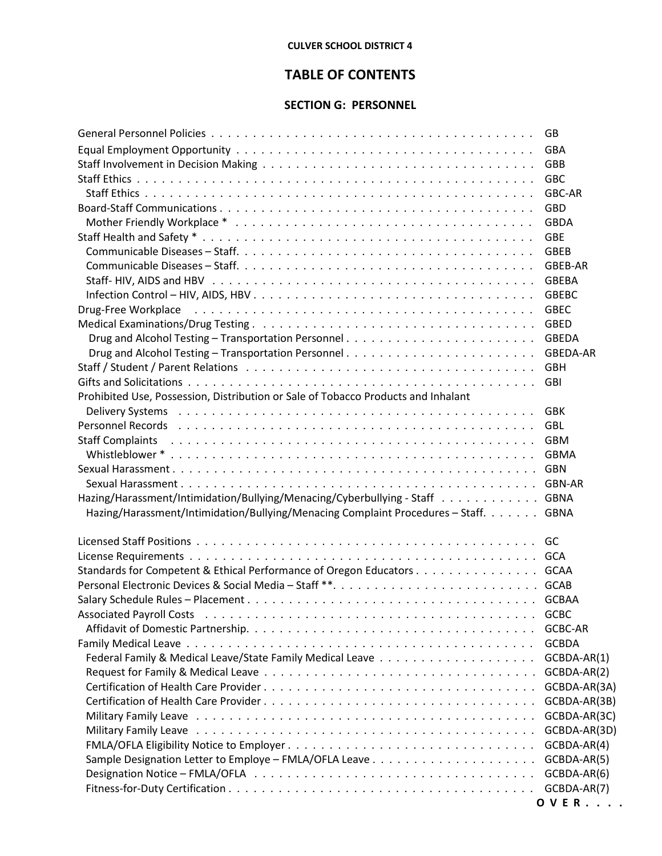## **CULVER SCHOOL DISTRICT 4**

## **TABLE OF CONTENTS**

## **SECTION G: PERSONNEL**

|                                                                                                                                                                                                                                | GB.             |
|--------------------------------------------------------------------------------------------------------------------------------------------------------------------------------------------------------------------------------|-----------------|
|                                                                                                                                                                                                                                | <b>GBA</b>      |
|                                                                                                                                                                                                                                | GBB             |
|                                                                                                                                                                                                                                | <b>GBC</b>      |
|                                                                                                                                                                                                                                | GBC-AR          |
|                                                                                                                                                                                                                                | <b>GBD</b>      |
|                                                                                                                                                                                                                                | <b>GBDA</b>     |
|                                                                                                                                                                                                                                | <b>GBE</b>      |
|                                                                                                                                                                                                                                | <b>GBEB</b>     |
|                                                                                                                                                                                                                                | GBEB-AR         |
|                                                                                                                                                                                                                                | <b>GBEBA</b>    |
|                                                                                                                                                                                                                                | <b>GBEBC</b>    |
| Drug-Free Workplace (assessment of the contract of the contract of the contract of the contract of the contract of the contract of the contract of the contract of the contract of the contract of the contract of the contrac | <b>GBEC</b>     |
|                                                                                                                                                                                                                                | <b>GBED</b>     |
|                                                                                                                                                                                                                                | <b>GBEDA</b>    |
|                                                                                                                                                                                                                                | <b>GBEDA-AR</b> |
|                                                                                                                                                                                                                                | <b>GBH</b>      |
|                                                                                                                                                                                                                                |                 |
| Prohibited Use, Possession, Distribution or Sale of Tobacco Products and Inhalant                                                                                                                                              |                 |
|                                                                                                                                                                                                                                |                 |
| Personnel Records (also contained also contained a series and contained a series and contained a series of the                                                                                                                 | <b>GBL</b>      |
| <b>Staff Complaints</b>                                                                                                                                                                                                        | <b>GBM</b>      |
|                                                                                                                                                                                                                                |                 |
|                                                                                                                                                                                                                                |                 |
|                                                                                                                                                                                                                                |                 |
| Hazing/Harassment/Intimidation/Bullying/Menacing/Cyberbullying - Staff GBNA                                                                                                                                                    |                 |
| Hazing/Harassment/Intimidation/Bullying/Menacing Complaint Procedures - Staff. GBNA                                                                                                                                            |                 |
|                                                                                                                                                                                                                                |                 |
|                                                                                                                                                                                                                                |                 |
|                                                                                                                                                                                                                                |                 |
| Standards for Competent & Ethical Performance of Oregon Educators GCAA                                                                                                                                                         |                 |
|                                                                                                                                                                                                                                |                 |
|                                                                                                                                                                                                                                |                 |
|                                                                                                                                                                                                                                | <b>GCBC</b>     |
|                                                                                                                                                                                                                                | GCBC-AR         |
|                                                                                                                                                                                                                                | <b>GCBDA</b>    |
|                                                                                                                                                                                                                                | GCBDA-AR(1)     |
|                                                                                                                                                                                                                                | GCBDA-AR(2)     |
|                                                                                                                                                                                                                                | GCBDA-AR(3A)    |
|                                                                                                                                                                                                                                | GCBDA-AR(3B)    |
|                                                                                                                                                                                                                                | GCBDA-AR(3C)    |
|                                                                                                                                                                                                                                | GCBDA-AR(3D)    |
|                                                                                                                                                                                                                                | GCBDA-AR(4)     |
|                                                                                                                                                                                                                                | GCBDA-AR(5)     |
|                                                                                                                                                                                                                                | GCBDA-AR(6)     |
|                                                                                                                                                                                                                                | GCBDA-AR(7)     |
|                                                                                                                                                                                                                                | <b>OVER</b>     |